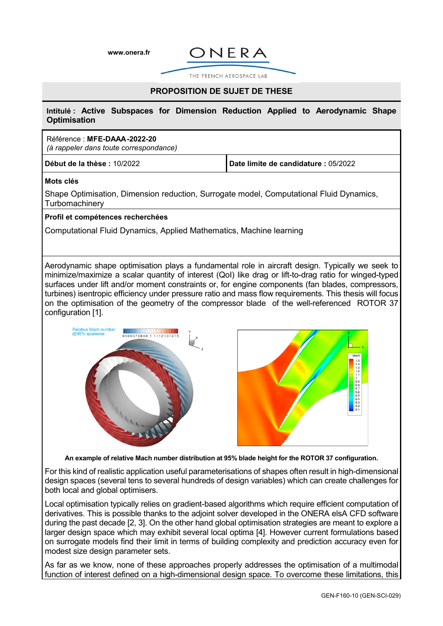**[www.onera.fr](http://www.onera.fr/)**



THE FRENCH AEROSPACE LAB

# **PROPOSITION DE SUJET DE THESE**

**Intitulé : Active Subspaces for Dimension Reduction Applied to Aerodynamic Shape Optimisation**

## Référence : **MFE-DAAA-2022-20**

*(à rappeler dans toute correspondance)*

**Début de la thèse :** 10/2022 **Date limite de candidature :** 05/2022

### **Mots clés**

Shape Optimisation, Dimension reduction, Surrogate model, Computational Fluid Dynamics, **Turbomachinery** 

### **Profil et compétences recherchées**

Computational Fluid Dynamics, Applied Mathematics, Machine learning

Aerodynamic shape optimisation plays a fundamental role in aircraft design. Typically we seek to minimize/maximize a scalar quantity of interest (QoI) like drag or lift-to-drag ratio for winged-typed surfaces under lift and/or moment constraints or, for engine components (fan blades, compressors, turbines) isentropic efficiency under pressure ratio and mass flow requirements. This thesis will focus on the optimisation of the geometry of the compressor blade of the well-referenced ROTOR 37 configuration [1].



**An example of relative Mach number distribution at 95% blade height for the ROTOR 37 configuration.**

For this kind of realistic application useful parameterisations of shapes often result in high-dimensional design spaces (several tens to several hundreds of design variables) which can create challenges for both local and global optimisers.

Local optimisation typically relies on gradient-based algorithms which require efficient computation of derivatives. This is possible thanks to the adjoint solver developed in the ONERA elsA CFD software during the past decade [2, 3]. On the other hand global optimisation strategies are meant to explore a larger design space which may exhibit several local optima [4]. However current formulations based on surrogate models find their limit in terms of building complexity and prediction accuracy even for modest size design parameter sets.

As far as we know, none of these approaches properly addresses the optimisation of a multimodal function of interest defined on a high-dimensional design space. To overcome these limitations, this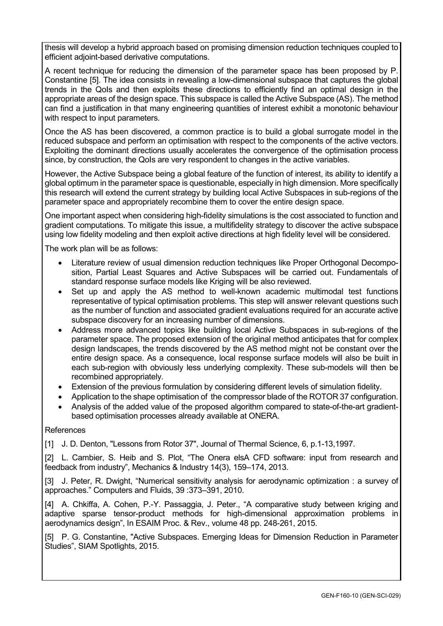thesis will develop a hybrid approach based on promising dimension reduction techniques coupled to efficient adjoint-based derivative computations.

A recent technique for reducing the dimension of the parameter space has been proposed by P. Constantine [5]. The idea consists in revealing a low-dimensional subspace that captures the global trends in the QoIs and then exploits these directions to efficiently find an optimal design in the appropriate areas of the design space. This subspace is called the Active Subspace (AS). The method can find a justification in that many engineering quantities of interest exhibit a monotonic behaviour with respect to input parameters.

Once the AS has been discovered, a common practice is to build a global surrogate model in the reduced subspace and perform an optimisation with respect to the components of the active vectors. Exploiting the dominant directions usually accelerates the convergence of the optimisation process since, by construction, the QoIs are very respondent to changes in the active variables.

However, the Active Subspace being a global feature of the function of interest, its ability to identify a global optimum in the parameter space is questionable, especially in high dimension. More specifically this research will extend the current strategy by building local Active Subspaces in sub-regions of the parameter space and appropriately recombine them to cover the entire design space.

One important aspect when considering high-fidelity simulations is the cost associated to function and gradient computations. To mitigate this issue, a multifidelity strategy to discover the active subspace using low fidelity modeling and then exploit active directions at high fidelity level will be considered.

The work plan will be as follows:

- Literature review of usual dimension reduction techniques like Proper Orthogonal Decomposition, Partial Least Squares and Active Subspaces will be carried out. Fundamentals of standard response surface models like Kriging will be also reviewed.
- Set up and apply the AS method to well-known academic multimodal test functions representative of typical optimisation problems. This step will answer relevant questions such as the number of function and associated gradient evaluations required for an accurate active subspace discovery for an increasing number of dimensions.
- Address more advanced topics like building local Active Subspaces in sub-regions of the parameter space. The proposed extension of the original method anticipates that for complex design landscapes, the trends discovered by the AS method might not be constant over the entire design space. As a consequence, local response surface models will also be built in each sub-region with obviously less underlying complexity. These sub-models will then be recombined appropriately.
- Extension of the previous formulation by considering different levels of simulation fidelity.
- Application to the shape optimisation of the compressor blade of the ROTOR 37 configuration.
- Analysis of the added value of the proposed algorithm compared to state-of-the-art gradientbased optimisation processes already available at ONERA.

# References

[1] J. D. Denton, "Lessons from Rotor 37", Journal of Thermal Science, 6, p.1-13,1997.

[2] L. Cambier, S. Heib and S. Plot, "The Onera elsA CFD software: input from research and feedback from industry", Mechanics & Industry 14(3), 159–174, 2013.

[3] J. Peter, R. Dwight, "Numerical sensitivity analysis for aerodynamic optimization : a survey of approaches." Computers and Fluids, 39 :373–391, 2010.

[4] A. Chkiffa, A. Cohen, P.-Y. Passaggia, J. Peter., "A comparative study between kriging and adaptive sparse tensor-product methods for high-dimensional approximation problems in aerodynamics design", In ESAIM Proc. & Rev., volume 48 pp. 248-261, 2015.

[5] P. G. Constantine, "Active Subspaces. Emerging Ideas for Dimension Reduction in Parameter Studies", SIAM Spotlights, 2015.